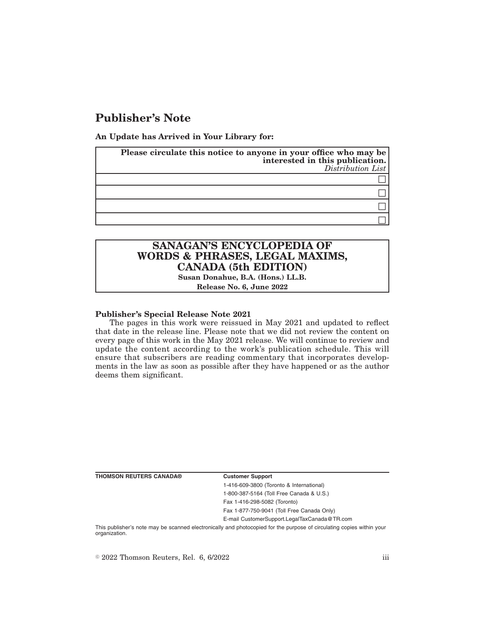# **Publisher's Note**

**An Update has Arrived in Your Library for:**

| Please circulate this notice to anyone in your office who may be | interested in this publication.<br>Distribution List |
|------------------------------------------------------------------|------------------------------------------------------|
|                                                                  |                                                      |
|                                                                  |                                                      |
|                                                                  |                                                      |
|                                                                  |                                                      |

## **SANAGAN'S ENCYCLOPEDIA OF WORDS & PHRASES, LEGAL MAXIMS, CANADA (5th EDITION)**

**Susan Donahue, B.A. (Hons.) LL.B. Release No. 6, June 2022**

### **Publisher's Special Release Note 2021**

The pages in this work were reissued in May 2021 and updated to reflect that date in the release line. Please note that we did not review the content on every page of this work in the May 2021 release. We will continue to review and update the content according to the work's publication schedule. This will ensure that subscribers are reading commentary that incorporates developments in the law as soon as possible after they have happened or as the author deems them significant.

**THOMSON REUTERS CANADA® Customer Support**

1-416-609-3800 (Toronto & International) 1-800-387-5164 (Toll Free Canada & U.S.)

Fax 1-416-298-5082 (Toronto) Fax 1-877-750-9041 (Toll Free Canada Only)

E-mail CustomerSupport.LegalTaxCanada@TR.com

This publisher's note may be scanned electronically and photocopied for the purpose of circulating copies within your organization.

 $\degree$  2022 Thomson Reuters, Rel. 6, 6/2022 iii